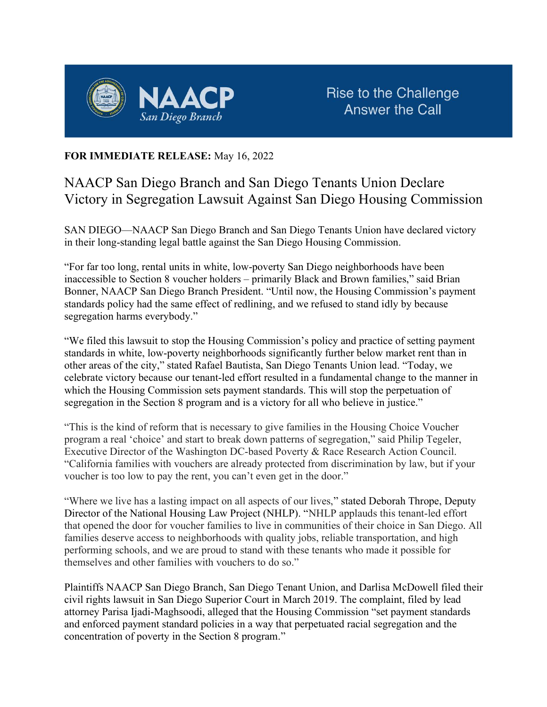

## FOR IMMEDIATE RELEASE: May 16, 2022

## NAACP San Diego Branch and San Diego Tenants Union Declare Victory in Segregation Lawsuit Against San Diego Housing Commission

SAN DIEGO—NAACP San Diego Branch and San Diego Tenants Union have declared victory in their long-standing legal battle against the San Diego Housing Commission.

"For far too long, rental units in white, low-poverty San Diego neighborhoods have been inaccessible to Section 8 voucher holders – primarily Black and Brown families," said Brian Bonner, NAACP San Diego Branch President. "Until now, the Housing Commission's payment standards policy had the same effect of redlining, and we refused to stand idly by because segregation harms everybody."

"We filed this lawsuit to stop the Housing Commission's policy and practice of setting payment standards in white, low-poverty neighborhoods significantly further below market rent than in other areas of the city," stated Rafael Bautista, San Diego Tenants Union lead. "Today, we celebrate victory because our tenant-led effort resulted in a fundamental change to the manner in which the Housing Commission sets payment standards. This will stop the perpetuation of segregation in the Section 8 program and is a victory for all who believe in justice."

"This is the kind of reform that is necessary to give families in the Housing Choice Voucher program a real 'choice' and start to break down patterns of segregation," said Philip Tegeler, Executive Director of the Washington DC-based Poverty & Race Research Action Council. "California families with vouchers are already protected from discrimination by law, but if your voucher is too low to pay the rent, you can't even get in the door."

"Where we live has a lasting impact on all aspects of our lives," stated Deborah Thrope, Deputy Director of the National Housing Law Project (NHLP). "NHLP applauds this tenant-led effort that opened the door for voucher families to live in communities of their choice in San Diego. All families deserve access to neighborhoods with quality jobs, reliable transportation, and high performing schools, and we are proud to stand with these tenants who made it possible for themselves and other families with vouchers to do so."

Plaintiffs NAACP San Diego Branch, San Diego Tenant Union, and Darlisa McDowell filed their civil rights lawsuit in San Diego Superior Court in March 2019. The complaint, filed by lead attorney Parisa Ijadi-Maghsoodi, alleged that the Housing Commission "set payment standards and enforced payment standard policies in a way that perpetuated racial segregation and the concentration of poverty in the Section 8 program."